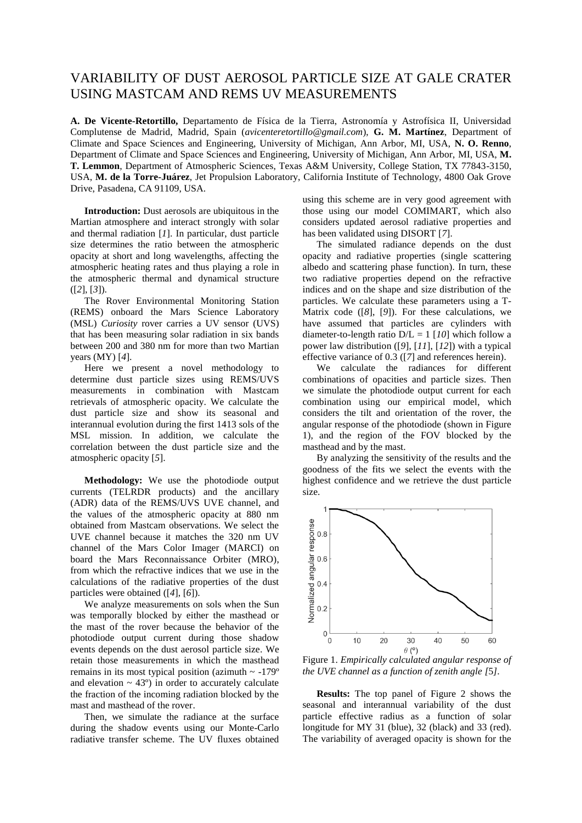## VARIABILITY OF DUST AEROSOL PARTICLE SIZE AT GALE CRATER USING MASTCAM AND REMS UV MEASUREMENTS

**A. De Vicente-Retortillo,** Departamento de Física de la Tierra, Astronomía y Astrofísica II, Universidad Complutense de Madrid, Madrid, Spain (*avicenteretortillo@gmail.com*), **G. M. Martínez**, Department of Climate and Space Sciences and Engineering, University of Michigan, Ann Arbor, MI, USA, **N. O. Renno**, Department of Climate and Space Sciences and Engineering, University of Michigan, Ann Arbor, MI, USA, **M. T. Lemmon**, Department of Atmospheric Sciences, Texas A&M University, College Station, TX 77843-3150, USA, **M. de la Torre-Juárez**, Jet Propulsion Laboratory, California Institute of Technology, 4800 Oak Grove Drive, Pasadena, CA 91109, USA.

**Introduction:** Dust aerosols are ubiquitous in the Martian atmosphere and interact strongly with solar and thermal radiation [*1*]. In particular, dust particle size determines the ratio between the atmospheric opacity at short and long wavelengths, affecting the atmospheric heating rates and thus playing a role in the atmospheric thermal and dynamical structure ([*2*], [*3*]).

The Rover Environmental Monitoring Station (REMS) onboard the Mars Science Laboratory (MSL) *Curiosity* rover carries a UV sensor (UVS) that has been measuring solar radiation in six bands between 200 and 380 nm for more than two Martian years (MY) [*4*].

Here we present a novel methodology to determine dust particle sizes using REMS/UVS measurements in combination with Mastcam retrievals of atmospheric opacity. We calculate the dust particle size and show its seasonal and interannual evolution during the first 1413 sols of the MSL mission. In addition, we calculate the correlation between the dust particle size and the atmospheric opacity [*5*].

**Methodology:** We use the photodiode output currents (TELRDR products) and the ancillary (ADR) data of the REMS/UVS UVE channel, and the values of the atmospheric opacity at 880 nm obtained from Mastcam observations. We select the UVE channel because it matches the 320 nm UV channel of the Mars Color Imager (MARCI) on board the Mars Reconnaissance Orbiter (MRO), from which the refractive indices that we use in the calculations of the radiative properties of the dust particles were obtained ([*4*], [*6*]).

We analyze measurements on sols when the Sun was temporally blocked by either the masthead or the mast of the rover because the behavior of the photodiode output current during those shadow events depends on the dust aerosol particle size. We retain those measurements in which the masthead remains in its most typical position (azimuth  $\sim$  -179 $^{\circ}$ ) and elevation  $\sim$  43 $^{\circ}$ ) in order to accurately calculate the fraction of the incoming radiation blocked by the mast and masthead of the rover.

Then, we simulate the radiance at the surface during the shadow events using our Monte-Carlo radiative transfer scheme. The UV fluxes obtained using this scheme are in very good agreement with those using our model COMIMART, which also considers updated aerosol radiative properties and has been validated using DISORT [*7*].

The simulated radiance depends on the dust opacity and radiative properties (single scattering albedo and scattering phase function). In turn, these two radiative properties depend on the refractive indices and on the shape and size distribution of the particles. We calculate these parameters using a T-Matrix code ([*8*], [*9*]). For these calculations, we have assumed that particles are cylinders with diameter-to-length ratio  $D/L = 1$  [10] which follow a power law distribution ([*9*], [*11*], [*12*]) with a typical effective variance of 0.3 ([*7*] and references herein).

We calculate the radiances for different combinations of opacities and particle sizes. Then we simulate the photodiode output current for each combination using our empirical model, which considers the tilt and orientation of the rover, the angular response of the photodiode (shown in Figure 1), and the region of the FOV blocked by the masthead and by the mast.

By analyzing the sensitivity of the results and the goodness of the fits we select the events with the highest confidence and we retrieve the dust particle size.



Figure 1. *Empirically calculated angular response of the UVE channel as a function of zenith angle [*5*].*

**Results:** The top panel of Figure 2 shows the seasonal and interannual variability of the dust particle effective radius as a function of solar longitude for MY 31 (blue), 32 (black) and 33 (red). The variability of averaged opacity is shown for the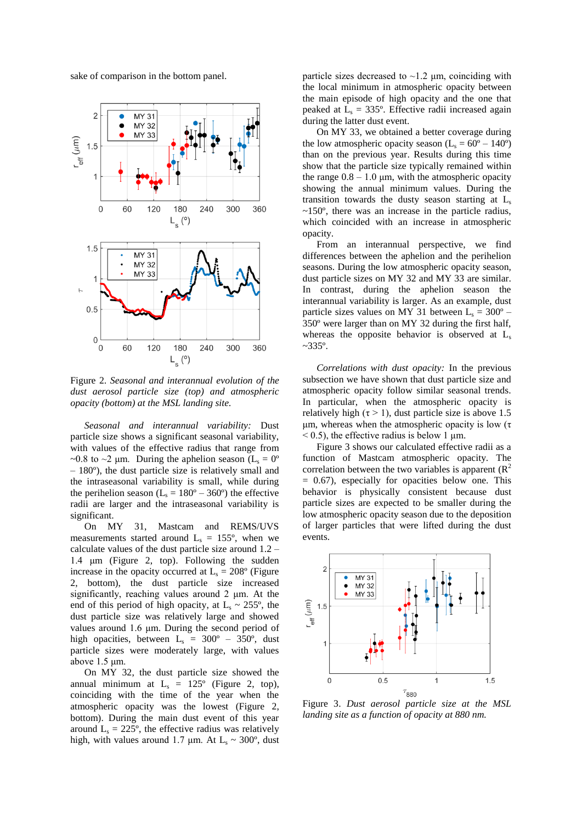sake of comparison in the bottom panel.



Figure 2. *Seasonal and interannual evolution of the dust aerosol particle size (top) and atmospheric opacity (bottom) at the MSL landing site.*

*Seasonal and interannual variability:* Dust particle size shows a significant seasonal variability, with values of the effective radius that range from ~0.8 to ~2 µm. During the aphelion season ( $L_s = 0^\circ$ ) – 180º), the dust particle size is relatively small and the intraseasonal variability is small, while during the perihelion season ( $L_s = 180^\circ - 360^\circ$ ) the effective radii are larger and the intraseasonal variability is significant.

On MY 31, Mastcam and REMS/UVS measurements started around  $L<sub>s</sub> = 155<sup>o</sup>$ , when we calculate values of the dust particle size around 1.2 – 1.4 μm (Figure 2, top). Following the sudden increase in the opacity occurred at  $L<sub>s</sub> = 208$ ° (Figure 2, bottom), the dust particle size increased significantly, reaching values around 2 μm. At the end of this period of high opacity, at  $L_s \sim 255$ °, the dust particle size was relatively large and showed values around 1.6 μm. During the second period of high opacities, between  $L_s = 300^\circ - 350^\circ$ , dust particle sizes were moderately large, with values above 1.5 μm.

On MY 32, the dust particle size showed the annual minimum at  $L<sub>s</sub> = 125<sup>o</sup>$  (Figure 2, top), coinciding with the time of the year when the atmospheric opacity was the lowest (Figure 2, bottom). During the main dust event of this year around  $L_s = 225^\circ$ , the effective radius was relatively high, with values around 1.7  $\mu$ m. At L<sub>s</sub> ~ 300°, dust

particle sizes decreased to  $\sim$ 1.2  $\mu$ m, coinciding with the local minimum in atmospheric opacity between the main episode of high opacity and the one that peaked at  $L<sub>s</sub> = 335$ °. Effective radii increased again during the latter dust event.

On MY 33, we obtained a better coverage during the low atmospheric opacity season  $(L_s = 60^\circ - 140^\circ)$ than on the previous year. Results during this time show that the particle size typically remained within the range  $0.8 - 1.0 \mu m$ , with the atmospheric opacity showing the annual minimum values. During the transition towards the dusty season starting at  $L<sub>s</sub>$  $\sim$ 150 $\degree$ , there was an increase in the particle radius, which coincided with an increase in atmospheric opacity.

From an interannual perspective, we find differences between the aphelion and the perihelion seasons. During the low atmospheric opacity season, dust particle sizes on MY 32 and MY 33 are similar. In contrast, during the aphelion season the interannual variability is larger. As an example, dust particle sizes values on MY 31 between  $L_s = 300^\circ$  – 350º were larger than on MY 32 during the first half, whereas the opposite behavior is observed at  $L<sub>s</sub>$  $~-335$ °.

*Correlations with dust opacity:* In the previous subsection we have shown that dust particle size and atmospheric opacity follow similar seasonal trends. In particular, when the atmospheric opacity is relatively high ( $\tau > 1$ ), dust particle size is above 1.5 μm, whereas when the atmospheric opacity is low (τ  $<$  0.5), the effective radius is below 1  $\mu$ m.

Figure 3 shows our calculated effective radii as a function of Mastcam atmospheric opacity. The correlation between the two variables is apparent  $(R^2)$  $= 0.67$ ), especially for opacities below one. This behavior is physically consistent because dust particle sizes are expected to be smaller during the low atmospheric opacity season due to the deposition of larger particles that were lifted during the dust events.



Figure 3. *Dust aerosol particle size at the MSL landing site as a function of opacity at 880 nm.*